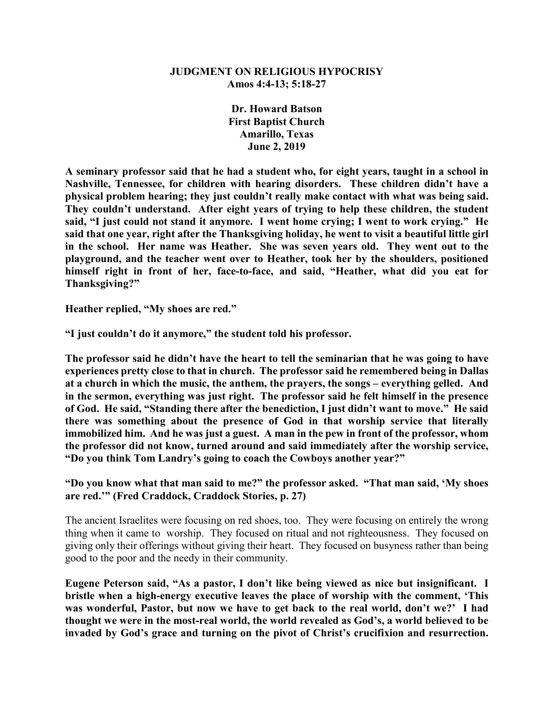#### **JUDGMENT ON RELIGIOUS HYPOCRISY Amos 4:4-13; 5:18-27**

**Dr. Howard Batson First Baptist Church Amarillo, Texas June 2, 2019**

**A seminary professor said that he had a student who, for eight years, taught in a school in Nashville, Tennessee, for children with hearing disorders. These children didn't have a physical problem hearing; they just couldn't really make contact with what was being said. They couldn't understand. After eight years of trying to help these children, the student said, "I just could not stand it anymore. I went home crying; I went to work crying." He said that one year, right after the Thanksgiving holiday, he went to visit a beautiful little girl**  in the school. Her name was Heather. She was seven years old. They went out to the **playground, and the teacher went over to Heather, took her by the shoulders, positioned himself right in front of her, face-to-face, and said, "Heather, what did you eat for Thanksgiving?"**

**Heather replied, "My shoes are red."**

**"I just couldn't do it anymore," the student told his professor.**

**The professor said he didn't have the heart to tell the seminarian that he was going to have experiences pretty close to that in church. The professor said he remembered being in Dallas at a church in which the music, the anthem, the prayers, the songs – everything gelled. And in the sermon, everything was just right. The professor said he felt himself in the presence of God. He said, "Standing there after the benediction, I just didn't want to move." He said there was something about the presence of God in that worship service that literally immobilized him. And he was just a guest. A man in the pew in front of the professor, whom the professor did not know, turned around and said immediately after the worship service, "Do you think Tom Landry's going to coach the Cowboys another year?"**

**"Do you know what that man said to me?" the professor asked. "That man said, 'My shoes are red.'" (Fred Craddock, Craddock Stories, p. 27)**

The ancient Israelites were focusing on red shoes, too. They were focusing on entirely the wrong thing when it came to worship. They focused on ritual and not righteousness. They focused on giving only their offerings without giving their heart. They focused on busyness rather than being good to the poor and the needy in their community.

**Eugene Peterson said, "As a pastor, I don't like being viewed as nice but insignificant. I bristle when a high-energy executive leaves the place of worship with the comment, 'This was wonderful, Pastor, but now we have to get back to the real world, don't we?' I had thought we were in the most-real world, the world revealed as God's, a world believed to be invaded by God's grace and turning on the pivot of Christ's crucifixion and resurrection.**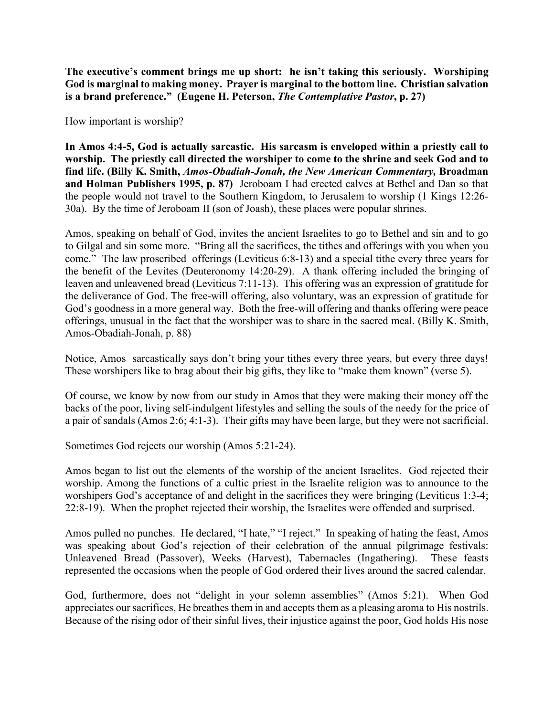**The executive's comment brings me up short: he isn't taking this seriously. Worshiping God is marginal to making money. Prayer is marginal to the bottom line. Christian salvation is a brand preference." (Eugene H. Peterson,** *The Contemplative Pastor***, p. 27)**

How important is worship?

**In Amos 4:4-5, God is actually sarcastic. His sarcasm is enveloped within a priestly call to worship. The priestly call directed the worshiper to come to the shrine and seek God and to find life. (Billy K. Smith,** *Amos-Obadiah-Jonah, the New American Commentary,* **Broadman and Holman Publishers 1995, p. 87)** Jeroboam I had erected calves at Bethel and Dan so that the people would not travel to the Southern Kingdom, to Jerusalem to worship (1 Kings 12:26- 30a). By the time of Jeroboam II (son of Joash), these places were popular shrines.

Amos, speaking on behalf of God, invites the ancient Israelites to go to Bethel and sin and to go to Gilgal and sin some more. "Bring all the sacrifices, the tithes and offerings with you when you come." The law proscribed offerings (Leviticus 6:8-13) and a special tithe every three years for the benefit of the Levites (Deuteronomy 14:20-29). A thank offering included the bringing of leaven and unleavened bread (Leviticus 7:11-13). This offering was an expression of gratitude for the deliverance of God. The free-will offering, also voluntary, was an expression of gratitude for God's goodness in a more general way. Both the free-will offering and thanks offering were peace offerings, unusual in the fact that the worshiper was to share in the sacred meal. (Billy K. Smith, Amos-Obadiah-Jonah, p. 88)

Notice, Amos sarcastically says don't bring your tithes every three years, but every three days! These worshipers like to brag about their big gifts, they like to "make them known" (verse 5).

Of course, we know by now from our study in Amos that they were making their money off the backs of the poor, living self-indulgent lifestyles and selling the souls of the needy for the price of a pair of sandals (Amos 2:6; 4:1-3). Their gifts may have been large, but they were not sacrificial.

Sometimes God rejects our worship (Amos 5:21-24).

Amos began to list out the elements of the worship of the ancient Israelites. God rejected their worship. Among the functions of a cultic priest in the Israelite religion was to announce to the worshipers God's acceptance of and delight in the sacrifices they were bringing (Leviticus 1:3-4; 22:8-19). When the prophet rejected their worship, the Israelites were offended and surprised.

Amos pulled no punches. He declared, "I hate," "I reject." In speaking of hating the feast, Amos was speaking about God's rejection of their celebration of the annual pilgrimage festivals: Unleavened Bread (Passover), Weeks (Harvest), Tabernacles (Ingathering). These feasts represented the occasions when the people of God ordered their lives around the sacred calendar.

God, furthermore, does not "delight in your solemn assemblies" (Amos 5:21). When God appreciates our sacrifices, He breathes them in and accepts them as a pleasing aroma to His nostrils. Because of the rising odor of their sinful lives, their injustice against the poor, God holds His nose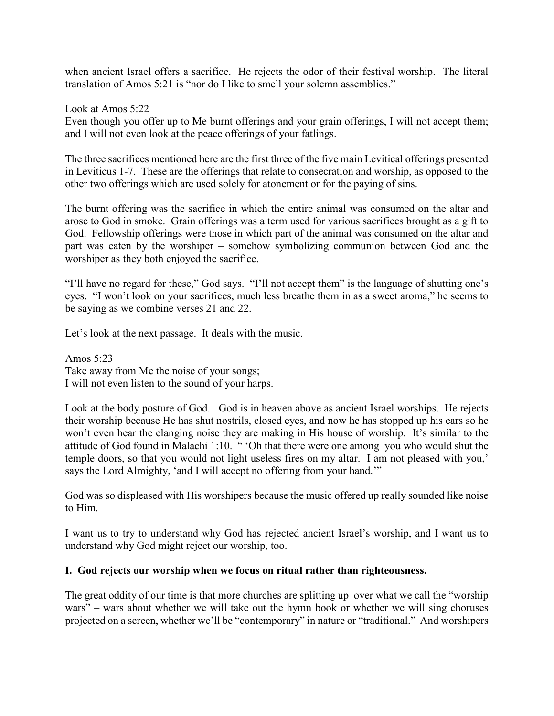when ancient Israel offers a sacrifice. He rejects the odor of their festival worship. The literal translation of Amos 5:21 is "nor do I like to smell your solemn assemblies."

Look at Amos 5:22

Even though you offer up to Me burnt offerings and your grain offerings, I will not accept them; and I will not even look at the peace offerings of your fatlings.

The three sacrifices mentioned here are the first three of the five main Levitical offerings presented in Leviticus 1-7. These are the offerings that relate to consecration and worship, as opposed to the other two offerings which are used solely for atonement or for the paying of sins.

The burnt offering was the sacrifice in which the entire animal was consumed on the altar and arose to God in smoke. Grain offerings was a term used for various sacrifices brought as a gift to God. Fellowship offerings were those in which part of the animal was consumed on the altar and part was eaten by the worshiper – somehow symbolizing communion between God and the worshiper as they both enjoyed the sacrifice.

"I'll have no regard for these," God says. "I'll not accept them" is the language of shutting one's eyes. "I won't look on your sacrifices, much less breathe them in as a sweet aroma," he seems to be saying as we combine verses 21 and 22.

Let's look at the next passage. It deals with the music.

Amos 5:23 Take away from Me the noise of your songs; I will not even listen to the sound of your harps.

Look at the body posture of God. God is in heaven above as ancient Israel worships. He rejects their worship because He has shut nostrils, closed eyes, and now he has stopped up his ears so he won't even hear the clanging noise they are making in His house of worship. It's similar to the attitude of God found in Malachi 1:10. " 'Oh that there were one among you who would shut the temple doors, so that you would not light useless fires on my altar. I am not pleased with you,' says the Lord Almighty, 'and I will accept no offering from your hand.'"

God was so displeased with His worshipers because the music offered up really sounded like noise to Him.

I want us to try to understand why God has rejected ancient Israel's worship, and I want us to understand why God might reject our worship, too.

#### **I. God rejects our worship when we focus on ritual rather than righteousness.**

The great oddity of our time is that more churches are splitting up over what we call the "worship wars" – wars about whether we will take out the hymn book or whether we will sing choruses projected on a screen, whether we'll be "contemporary" in nature or "traditional." And worshipers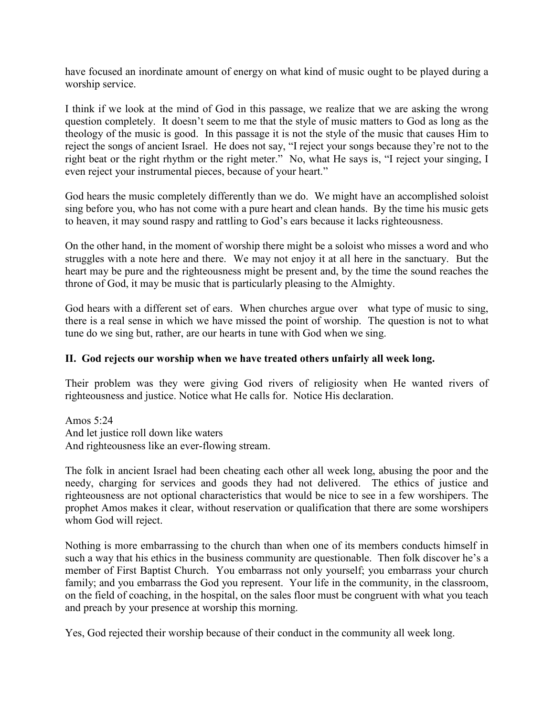have focused an inordinate amount of energy on what kind of music ought to be played during a worship service.

I think if we look at the mind of God in this passage, we realize that we are asking the wrong question completely. It doesn't seem to me that the style of music matters to God as long as the theology of the music is good. In this passage it is not the style of the music that causes Him to reject the songs of ancient Israel. He does not say, "I reject your songs because they're not to the right beat or the right rhythm or the right meter." No, what He says is, "I reject your singing, I even reject your instrumental pieces, because of your heart."

God hears the music completely differently than we do. We might have an accomplished soloist sing before you, who has not come with a pure heart and clean hands. By the time his music gets to heaven, it may sound raspy and rattling to God's ears because it lacks righteousness.

On the other hand, in the moment of worship there might be a soloist who misses a word and who struggles with a note here and there. We may not enjoy it at all here in the sanctuary. But the heart may be pure and the righteousness might be present and, by the time the sound reaches the throne of God, it may be music that is particularly pleasing to the Almighty.

God hears with a different set of ears. When churches argue over what type of music to sing, there is a real sense in which we have missed the point of worship. The question is not to what tune do we sing but, rather, are our hearts in tune with God when we sing.

#### **II. God rejects our worship when we have treated others unfairly all week long.**

Their problem was they were giving God rivers of religiosity when He wanted rivers of righteousness and justice. Notice what He calls for. Notice His declaration.

Amos 5:24 And let justice roll down like waters And righteousness like an ever-flowing stream.

The folk in ancient Israel had been cheating each other all week long, abusing the poor and the needy, charging for services and goods they had not delivered. The ethics of justice and righteousness are not optional characteristics that would be nice to see in a few worshipers. The prophet Amos makes it clear, without reservation or qualification that there are some worshipers whom God will reject.

Nothing is more embarrassing to the church than when one of its members conducts himself in such a way that his ethics in the business community are questionable. Then folk discover he's a member of First Baptist Church. You embarrass not only yourself; you embarrass your church family; and you embarrass the God you represent. Your life in the community, in the classroom, on the field of coaching, in the hospital, on the sales floor must be congruent with what you teach and preach by your presence at worship this morning.

Yes, God rejected their worship because of their conduct in the community all week long.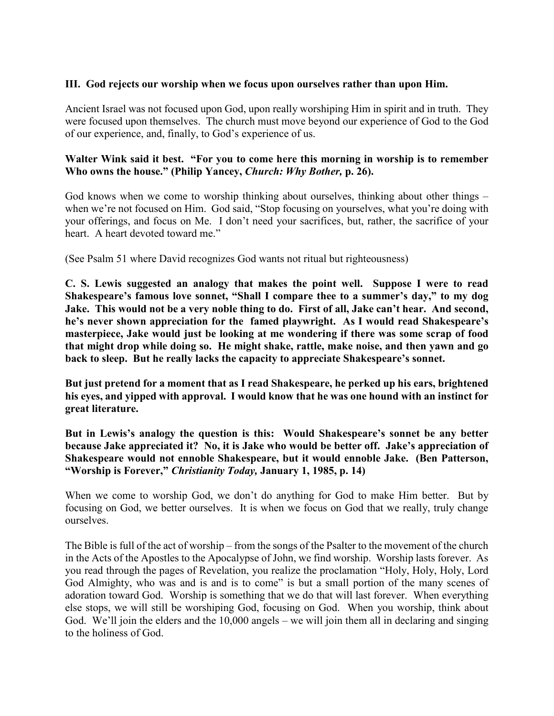## **III. God rejects our worship when we focus upon ourselves rather than upon Him.**

Ancient Israel was not focused upon God, upon really worshiping Him in spirit and in truth. They were focused upon themselves. The church must move beyond our experience of God to the God of our experience, and, finally, to God's experience of us.

### **Walter Wink said it best. "For you to come here this morning in worship is to remember Who owns the house." (Philip Yancey,** *Church: Why Bother,* **p. 26).**

God knows when we come to worship thinking about ourselves, thinking about other things – when we're not focused on Him. God said, "Stop focusing on yourselves, what you're doing with your offerings, and focus on Me. I don't need your sacrifices, but, rather, the sacrifice of your heart. A heart devoted toward me."

(See Psalm 51 where David recognizes God wants not ritual but righteousness)

**C. S. Lewis suggested an analogy that makes the point well. Suppose I were to read Shakespeare's famous love sonnet, "Shall I compare thee to a summer's day," to my dog Jake. This would not be a very noble thing to do. First of all, Jake can't hear. And second, he's never shown appreciation for the famed playwright. As I would read Shakespeare's masterpiece, Jake would just be looking at me wondering if there was some scrap of food that might drop while doing so. He might shake, rattle, make noise, and then yawn and go back to sleep. But he really lacks the capacity to appreciate Shakespeare's sonnet.** 

**But just pretend for a moment that as I read Shakespeare, he perked up his ears, brightened his eyes, and yipped with approval. I would know that he was one hound with an instinct for great literature.**

**But in Lewis's analogy the question is this: Would Shakespeare's sonnet be any better because Jake appreciated it? No, it is Jake who would be better off. Jake's appreciation of Shakespeare would not ennoble Shakespeare, but it would ennoble Jake. (Ben Patterson, "Worship is Forever,"** *Christianity Today,* **January 1, 1985, p. 14)**

When we come to worship God, we don't do anything for God to make Him better. But by focusing on God, we better ourselves. It is when we focus on God that we really, truly change ourselves.

The Bible is full of the act of worship – from the songs of the Psalter to the movement of the church in the Acts of the Apostles to the Apocalypse of John, we find worship. Worship lasts forever. As you read through the pages of Revelation, you realize the proclamation "Holy, Holy, Holy, Lord God Almighty, who was and is and is to come" is but a small portion of the many scenes of adoration toward God. Worship is something that we do that will last forever. When everything else stops, we will still be worshiping God, focusing on God. When you worship, think about God. We'll join the elders and the 10,000 angels – we will join them all in declaring and singing to the holiness of God.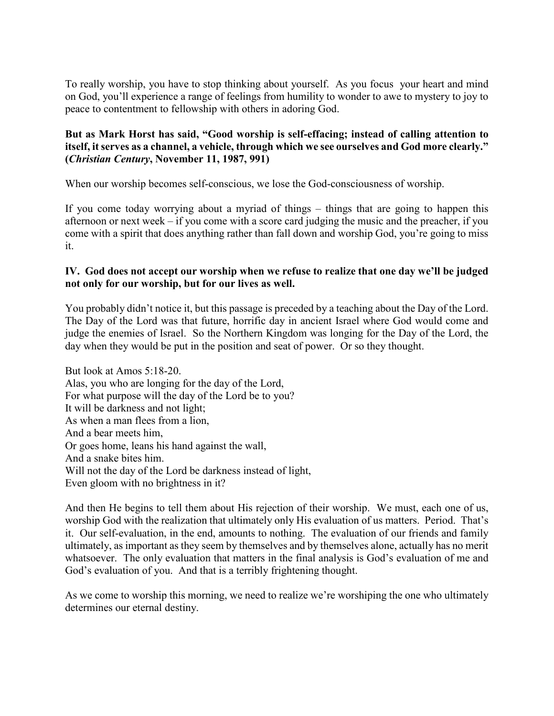To really worship, you have to stop thinking about yourself. As you focus your heart and mind on God, you'll experience a range of feelings from humility to wonder to awe to mystery to joy to peace to contentment to fellowship with others in adoring God.

# **But as Mark Horst has said, "Good worship is self-effacing; instead of calling attention to itself, it serves as a channel, a vehicle, through which we see ourselves and God more clearly." (***Christian Century***, November 11, 1987, 991)**

When our worship becomes self-conscious, we lose the God-consciousness of worship.

If you come today worrying about a myriad of things – things that are going to happen this afternoon or next week – if you come with a score card judging the music and the preacher, if you come with a spirit that does anything rather than fall down and worship God, you're going to miss it.

# **IV. God does not accept our worship when we refuse to realize that one day we'll be judged not only for our worship, but for our lives as well.**

You probably didn't notice it, but this passage is preceded by a teaching about the Day of the Lord. The Day of the Lord was that future, horrific day in ancient Israel where God would come and judge the enemies of Israel. So the Northern Kingdom was longing for the Day of the Lord, the day when they would be put in the position and seat of power. Or so they thought.

But look at Amos 5:18-20. Alas, you who are longing for the day of the Lord, For what purpose will the day of the Lord be to you? It will be darkness and not light; As when a man flees from a lion, And a bear meets him, Or goes home, leans his hand against the wall, And a snake bites him. Will not the day of the Lord be darkness instead of light, Even gloom with no brightness in it?

And then He begins to tell them about His rejection of their worship. We must, each one of us, worship God with the realization that ultimately only His evaluation of us matters. Period. That's it. Our self-evaluation, in the end, amounts to nothing. The evaluation of our friends and family ultimately, as important as they seem by themselves and by themselves alone, actually has no merit whatsoever. The only evaluation that matters in the final analysis is God's evaluation of me and God's evaluation of you. And that is a terribly frightening thought.

As we come to worship this morning, we need to realize we're worshiping the one who ultimately determines our eternal destiny.